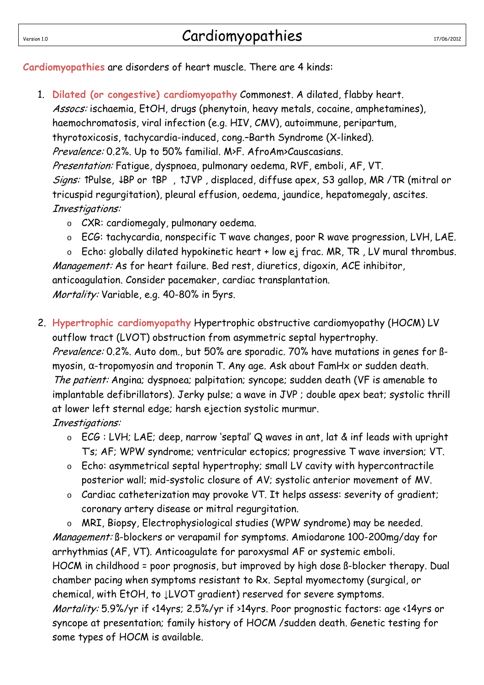**Cardiomyopathies** are disorders of heart muscle. There are 4 kinds:

- 1. **Dilated (or congestive) cardiomyopathy** Commonest. A dilated, flabby heart. Assocs: ischaemia, EtOH, drugs (phenytoin, heavy metals, cocaine, amphetamines), haemochromatosis, viral infection (e.g. HIV, CMV), autoimmune, peripartum, thyrotoxicosis, tachycardia-induced, cong.–Barth Syndrome (X-linked). Prevalence: 0.2%. Up to 50% familial. M>F. AfroAm>Causcasians. Presentation: Fatigue, dyspnoea, pulmonary oedema, RVF, emboli, AF, VT. Signs: ↑Pulse, ↓BP or ↑BP , ↑JVP , displaced, diffuse apex, S3 gallop, MR /TR (mitral or tricuspid regurgitation), pleural effusion, oedema, jaundice, hepatomegaly, ascites. Investigations:
	- o CXR: cardiomegaly, pulmonary oedema.
	- o ECG: tachycardia, nonspecific T wave changes, poor R wave progression, LVH, LAE.

o Echo: globally dilated hypokinetic heart + low ej frac. MR, TR , LV mural thrombus. Management: As for heart failure. Bed rest, diuretics, digoxin, ACE inhibitor, anticoagulation. Consider pacemaker, cardiac transplantation. Mortality: Variable, e.g. 40-80% in 5yrs.

2. **Hypertrophic cardiomyopathy** Hypertrophic obstructive cardiomyopathy (HOCM) LV outflow tract (LVOT) obstruction from asymmetric septal hypertrophy. Prevalence: 0.2%. Auto dom., but 50% are sporadic. 70% have mutations in genes for  $\beta$ myosin, α-tropomyosin and troponin T. Any age. Ask about FamHx or sudden death. The patient: Angina; dyspnoea; palpitation; syncope; sudden death (VF is amenable to implantable defibrillators). Jerky pulse; a wave in JVP ; double apex beat; systolic thrill at lower left sternal edge; harsh ejection systolic murmur.

Investigations:

- o ECG : LVH; LAE; deep, narrow 'septal' Q waves in ant, lat & inf leads with upright T's; AF; WPW syndrome; ventricular ectopics; progressive T wave inversion; VT.
- o Echo: asymmetrical septal hypertrophy; small LV cavity with hypercontractile posterior wall; mid-systolic closure of AV; systolic anterior movement of MV.
- o Cardiac catheterization may provoke VT. It helps assess: severity of gradient; coronary artery disease or mitral regurgitation.

o MRI, Biopsy, Electrophysiological studies (WPW syndrome) may be needed. Management: ß-blockers or verapamil for symptoms. Amiodarone 100-200mg/day for arrhythmias (AF, VT). Anticoagulate for paroxysmal AF or systemic emboli. HOCM in childhood = poor prognosis, but improved by high dose ß-blocker therapy. Dual chamber pacing when symptoms resistant to Rx. Septal myomectomy (surgical, or chemical, with EtOH, to ↓LVOT gradient) reserved for severe symptoms. Mortality: 5.9%/yr if <14yrs; 2.5%/yr if >14yrs. Poor prognostic factors: age <14yrs or syncope at presentation; family history of HOCM /sudden death. Genetic testing for some types of HOCM is available.